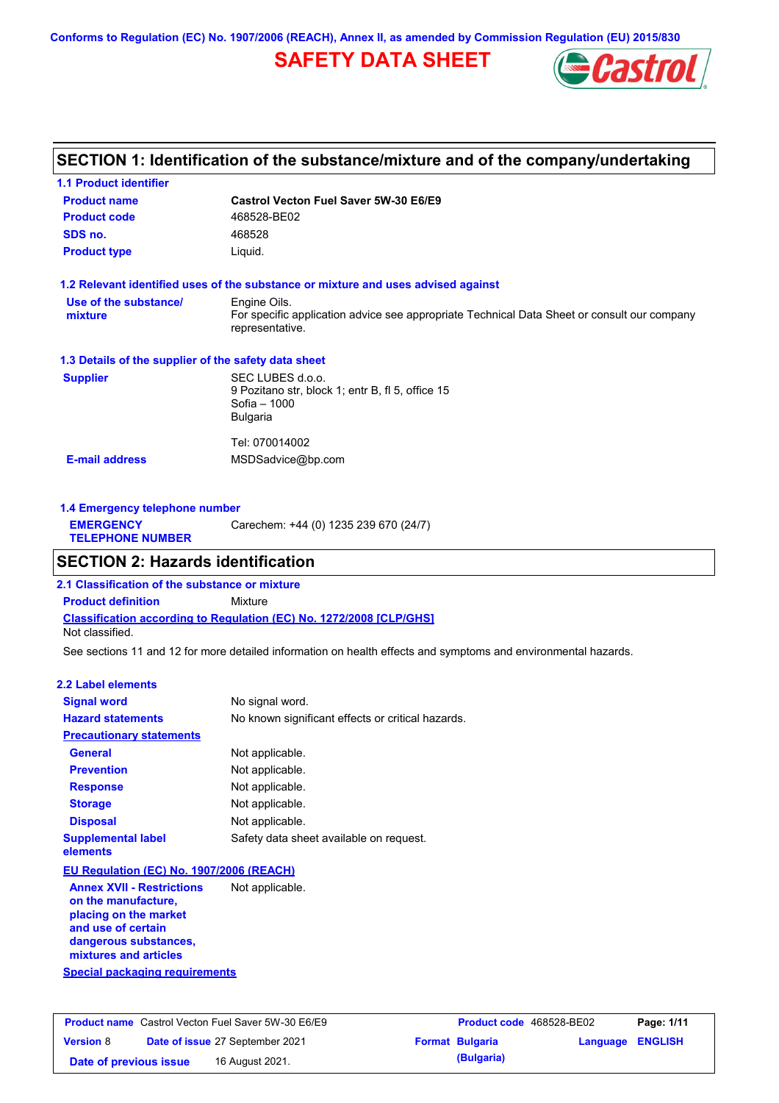**Conforms to Regulation (EC) No. 1907/2006 (REACH), Annex II, as amended by Commission Regulation (EU) 2015/830**

# **SAFETY DATA SHEET**



### **SECTION 1: Identification of the substance/mixture and of the company/undertaking**

| <b>Product name</b>                                  | Castrol Vecton Fuel Saver 5W-30 E6/E9                                                                                          |  |  |  |  |
|------------------------------------------------------|--------------------------------------------------------------------------------------------------------------------------------|--|--|--|--|
| <b>Product code</b>                                  | 468528-BE02                                                                                                                    |  |  |  |  |
| SDS no.                                              | 468528                                                                                                                         |  |  |  |  |
| <b>Product type</b>                                  | Liquid.                                                                                                                        |  |  |  |  |
|                                                      | 1.2 Relevant identified uses of the substance or mixture and uses advised against                                              |  |  |  |  |
| Use of the substance/<br>mixture                     | Engine Oils.<br>For specific application advice see appropriate Technical Data Sheet or consult our company<br>representative. |  |  |  |  |
| 1.3 Details of the supplier of the safety data sheet |                                                                                                                                |  |  |  |  |
| <b>Supplier</b>                                      | SEC LUBES d.o.o.<br>9 Pozitano str, block 1; entr B, fl 5, office 15<br>Sofia - 1000<br><b>Bulgaria</b>                        |  |  |  |  |
|                                                      | Tel: 070014002                                                                                                                 |  |  |  |  |
|                                                      | MSDSadvice@bp.com                                                                                                              |  |  |  |  |

| Carechem: +44 (0) 1235 239 670 (24/7)<br><b>EMERGENCY</b><br><b>TELEPHONE NUMBER</b> | 1.4 Emergency telephone number |  |  |  |  |
|--------------------------------------------------------------------------------------|--------------------------------|--|--|--|--|
|                                                                                      |                                |  |  |  |  |

### **SECTION 2: Hazards identification**

**Classification according to Regulation (EC) No. 1272/2008 [CLP/GHS] 2.1 Classification of the substance or mixture Product definition** Mixture Not classified.

See sections 11 and 12 for more detailed information on health effects and symptoms and environmental hazards.

#### **2.2 Label elements**

| <b>Signal word</b>                                      | No signal word.                                   |
|---------------------------------------------------------|---------------------------------------------------|
| <b>Hazard statements</b>                                | No known significant effects or critical hazards. |
| <b>Precautionary statements</b>                         |                                                   |
| <b>General</b>                                          | Not applicable.                                   |
| <b>Prevention</b>                                       | Not applicable.                                   |
| <b>Response</b>                                         | Not applicable.                                   |
| <b>Storage</b>                                          | Not applicable.                                   |
| <b>Disposal</b>                                         | Not applicable.                                   |
| <b>Supplemental label</b><br>elements                   | Safety data sheet available on request.           |
| EU Regulation (EC) No. 1907/2006 (REACH)                |                                                   |
| <b>Annex XVII - Restrictions</b><br>on the manufacture, | Not applicable.                                   |

**placing on the market and use of certain dangerous substances, mixtures and articles**

**Special packaging requirements**

| <b>Product name</b> Castrol Vecton Fuel Saver 5W-30 E6/E9 |  |                                        | <b>Product code</b> 468528-BE02 |                        | Page: 1/11              |  |
|-----------------------------------------------------------|--|----------------------------------------|---------------------------------|------------------------|-------------------------|--|
| <b>Version 8</b>                                          |  | <b>Date of issue 27 September 2021</b> |                                 | <b>Format Bulgaria</b> | <b>Language ENGLISH</b> |  |
| Date of previous issue                                    |  | 16 August 2021.                        |                                 | (Bulgaria)             |                         |  |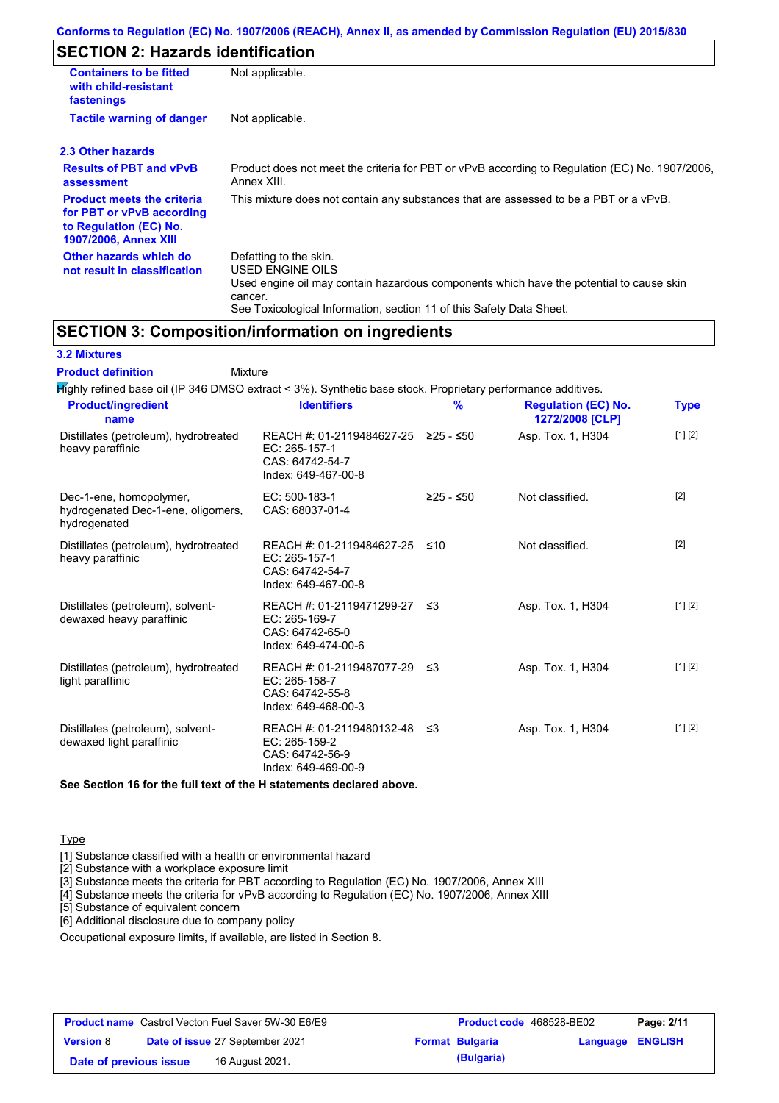### **SECTION 2: Hazards identification**

| <b>Containers to be fitted</b><br>with child-resistant<br>fastenings                                                     | Not applicable.                                                                                                                                                                                                          |
|--------------------------------------------------------------------------------------------------------------------------|--------------------------------------------------------------------------------------------------------------------------------------------------------------------------------------------------------------------------|
| <b>Tactile warning of danger</b>                                                                                         | Not applicable.                                                                                                                                                                                                          |
| 2.3 Other hazards                                                                                                        |                                                                                                                                                                                                                          |
| <b>Results of PBT and vPvB</b><br>assessment                                                                             | Product does not meet the criteria for PBT or vPvB according to Regulation (EC) No. 1907/2006,<br>Annex XIII.                                                                                                            |
| <b>Product meets the criteria</b><br>for PBT or vPvB according<br>to Regulation (EC) No.<br><b>1907/2006, Annex XIII</b> | This mixture does not contain any substances that are assessed to be a PBT or a vPvB.                                                                                                                                    |
| Other hazards which do<br>not result in classification                                                                   | Defatting to the skin.<br>USED ENGINE OILS<br>Used engine oil may contain hazardous components which have the potential to cause skin<br>cancer.<br>See Toxicological Information, section 11 of this Safety Data Sheet. |

### **SECTION 3: Composition/information on ingredients**

Mixture

|  | <b>3.2 Mixtures</b> |  |
|--|---------------------|--|
|--|---------------------|--|

**Product definition**

| Highly refined base oil (IP 346 DMSO extract < 3%). Synthetic base stock. Proprietary performance additives. |                                                                                                |               |                                               |             |
|--------------------------------------------------------------------------------------------------------------|------------------------------------------------------------------------------------------------|---------------|-----------------------------------------------|-------------|
| <b>Product/ingredient</b><br>name                                                                            | <b>Identifiers</b>                                                                             | $\frac{9}{6}$ | <b>Regulation (EC) No.</b><br>1272/2008 [CLP] | <b>Type</b> |
| Distillates (petroleum), hydrotreated<br>heavy paraffinic                                                    | REACH #: 01-2119484627-25 ≥25 - ≤50<br>EC: 265-157-1<br>CAS: 64742-54-7<br>Index: 649-467-00-8 |               | Asp. Tox. 1, H304                             | [1] [2]     |
| Dec-1-ene, homopolymer,<br>hydrogenated Dec-1-ene, oligomers,<br>hydrogenated                                | EC: 500-183-1<br>CAS: 68037-01-4                                                               | $≥25 - ≤50$   | Not classified.                               | [2]         |
| Distillates (petroleum), hydrotreated<br>heavy paraffinic                                                    | REACH #: 01-2119484627-25<br>EC: 265-157-1<br>CAS: 64742-54-7<br>Index: 649-467-00-8           | ≤10           | Not classified.                               | $[2]$       |
| Distillates (petroleum), solvent-<br>dewaxed heavy paraffinic                                                | REACH #: 01-2119471299-27 ≤3<br>EC: 265-169-7<br>CAS: 64742-65-0<br>Index: 649-474-00-6        |               | Asp. Tox. 1, H304                             | [1] [2]     |
| Distillates (petroleum), hydrotreated<br>light paraffinic                                                    | REACH #: 01-2119487077-29 ≤3<br>EC: 265-158-7<br>CAS: 64742-55-8<br>Index: 649-468-00-3        |               | Asp. Tox. 1, H304                             | [1] [2]     |
| Distillates (petroleum), solvent-<br>dewaxed light paraffinic                                                | REACH #: 01-2119480132-48 ≤3<br>EC: 265-159-2<br>CAS: 64742-56-9<br>Index: 649-469-00-9        |               | Asp. Tox. 1, H304                             | [1] [2]     |

**See Section 16 for the full text of the H statements declared above.**

#### **Type**

[1] Substance classified with a health or environmental hazard

[2] Substance with a workplace exposure limit

[3] Substance meets the criteria for PBT according to Regulation (EC) No. 1907/2006, Annex XIII

[4] Substance meets the criteria for vPvB according to Regulation (EC) No. 1907/2006, Annex XIII

[5] Substance of equivalent concern

[6] Additional disclosure due to company policy

Occupational exposure limits, if available, are listed in Section 8.

| <b>Product name</b> Castrol Vecton Fuel Saver 5W-30 E6/E9 |  |                                 | <b>Product code</b> 468528-BE02 |                        | Page: 2/11       |  |
|-----------------------------------------------------------|--|---------------------------------|---------------------------------|------------------------|------------------|--|
| <b>Version 8</b>                                          |  | Date of issue 27 September 2021 |                                 | <b>Format Bulgaria</b> | Language ENGLISH |  |
| Date of previous issue                                    |  | 16 August 2021.                 |                                 | (Bulgaria)             |                  |  |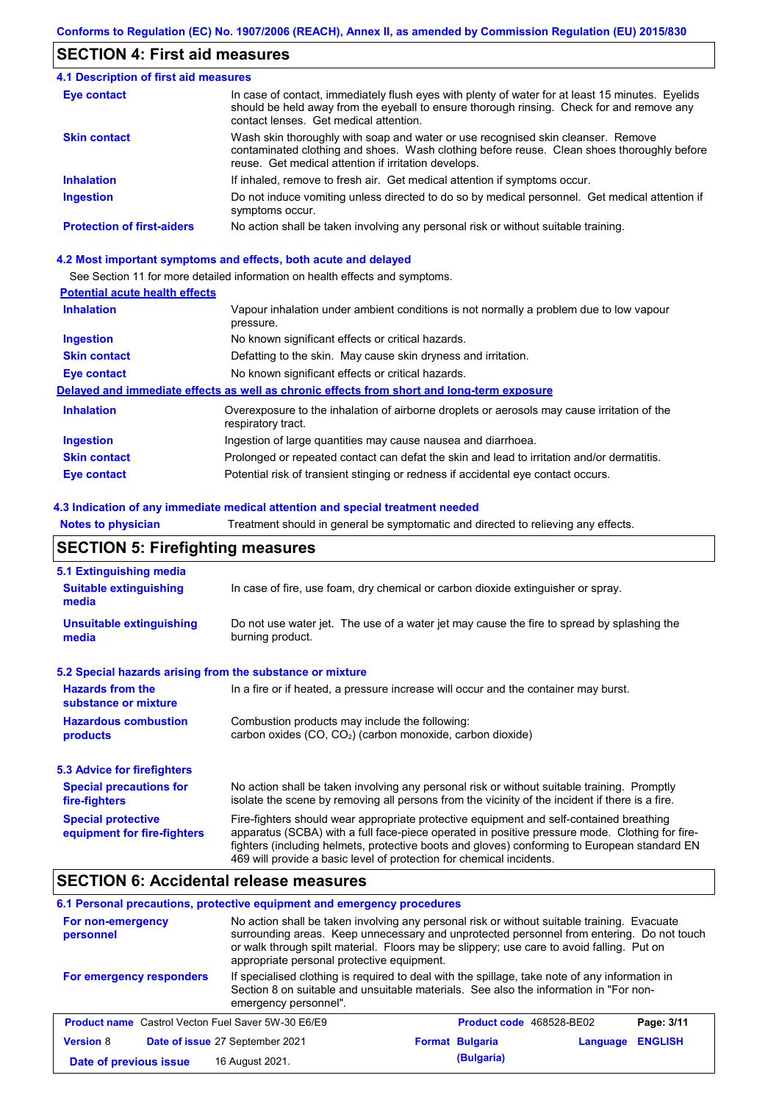### **SECTION 4: First aid measures**

#### Do not induce vomiting unless directed to do so by medical personnel. Get medical attention if symptoms occur. In case of contact, immediately flush eyes with plenty of water for at least 15 minutes. Eyelids should be held away from the eyeball to ensure thorough rinsing. Check for and remove any contact lenses. Get medical attention. **4.1 Description of first aid measures** If inhaled, remove to fresh air. Get medical attention if symptoms occur. **Ingestion Inhalation Eye contact Protection of first-aiders** No action shall be taken involving any personal risk or without suitable training. **Skin contact** Wash skin thoroughly with soap and water or use recognised skin cleanser. Remove contaminated clothing and shoes. Wash clothing before reuse. Clean shoes thoroughly before reuse. Get medical attention if irritation develops.

#### **4.2 Most important symptoms and effects, both acute and delayed**

See Section 11 for more detailed information on health effects and symptoms.

#### **Potential acute health effects**

| <b>Inhalation</b>   | Vapour inhalation under ambient conditions is not normally a problem due to low vapour                            |
|---------------------|-------------------------------------------------------------------------------------------------------------------|
|                     | pressure.                                                                                                         |
| <b>Ingestion</b>    | No known significant effects or critical hazards.                                                                 |
| <b>Skin contact</b> | Defatting to the skin. May cause skin dryness and irritation.                                                     |
| Eye contact         | No known significant effects or critical hazards.                                                                 |
|                     | Delayed and immediate effects as well as chronic effects from short and long-term exposure                        |
| <b>Inhalation</b>   | Overexposure to the inhalation of airborne droplets or aerosols may cause irritation of the<br>respiratory tract. |
| <b>Ingestion</b>    | Ingestion of large quantities may cause nausea and diarrhoea.                                                     |
| <b>Skin contact</b> | Prolonged or repeated contact can defat the skin and lead to irritation and/or dermatitis.                        |
| Eye contact         | Potential risk of transient stinging or redness if accidental eye contact occurs.                                 |

#### **4.3 Indication of any immediate medical attention and special treatment needed**

**Notes to physician** Treatment should in general be symptomatic and directed to relieving any effects.

### **SECTION 5: Firefighting measures**

| 5.1 Extinguishing media                                                                                                                                    |                                                                                                                                                                                                                                                                                                                                                                   |  |  |  |
|------------------------------------------------------------------------------------------------------------------------------------------------------------|-------------------------------------------------------------------------------------------------------------------------------------------------------------------------------------------------------------------------------------------------------------------------------------------------------------------------------------------------------------------|--|--|--|
| In case of fire, use foam, dry chemical or carbon dioxide extinguisher or spray.<br><b>Suitable extinguishing</b><br>media                                 |                                                                                                                                                                                                                                                                                                                                                                   |  |  |  |
| <b>Unsuitable extinguishing</b><br>Do not use water jet. The use of a water jet may cause the fire to spread by splashing the<br>burning product.<br>media |                                                                                                                                                                                                                                                                                                                                                                   |  |  |  |
| 5.2 Special hazards arising from the substance or mixture                                                                                                  |                                                                                                                                                                                                                                                                                                                                                                   |  |  |  |
| <b>Hazards from the</b><br>In a fire or if heated, a pressure increase will occur and the container may burst.<br>substance or mixture                     |                                                                                                                                                                                                                                                                                                                                                                   |  |  |  |
| <b>Hazardous combustion</b><br>products                                                                                                                    | Combustion products may include the following:<br>carbon oxides (CO, CO <sub>2</sub> ) (carbon monoxide, carbon dioxide)                                                                                                                                                                                                                                          |  |  |  |
| 5.3 Advice for firefighters                                                                                                                                |                                                                                                                                                                                                                                                                                                                                                                   |  |  |  |
| <b>Special precautions for</b><br>fire-fighters                                                                                                            | No action shall be taken involving any personal risk or without suitable training. Promptly<br>isolate the scene by removing all persons from the vicinity of the incident if there is a fire.                                                                                                                                                                    |  |  |  |
| <b>Special protective</b><br>equipment for fire-fighters                                                                                                   | Fire-fighters should wear appropriate protective equipment and self-contained breathing<br>apparatus (SCBA) with a full face-piece operated in positive pressure mode. Clothing for fire-<br>fighters (including helmets, protective boots and gloves) conforming to European standard EN<br>469 will provide a basic level of protection for chemical incidents. |  |  |  |

### **SECTION 6: Accidental release measures**

#### **6.1 Personal precautions, protective equipment and emergency procedures**

| For non-emergency<br>personnel                            | No action shall be taken involving any personal risk or without suitable training. Evacuate<br>surrounding areas. Keep unnecessary and unprotected personnel from entering. Do not touch<br>or walk through spilt material. Floors may be slippery; use care to avoid falling. Put on<br>appropriate personal protective equipment. |                                 |          |                |
|-----------------------------------------------------------|-------------------------------------------------------------------------------------------------------------------------------------------------------------------------------------------------------------------------------------------------------------------------------------------------------------------------------------|---------------------------------|----------|----------------|
| For emergency responders                                  | If specialised clothing is required to deal with the spillage, take note of any information in<br>Section 8 on suitable and unsuitable materials. See also the information in "For non-<br>emergency personnel".                                                                                                                    |                                 |          |                |
| <b>Product name</b> Castrol Vecton Fuel Saver 5W-30 E6/E9 |                                                                                                                                                                                                                                                                                                                                     | <b>Product code</b> 468528-BE02 |          | Page: 3/11     |
| <b>Version 8</b>                                          | Date of issue 27 September 2021                                                                                                                                                                                                                                                                                                     | <b>Format Bulgaria</b>          | Language | <b>ENGLISH</b> |
| Date of previous issue                                    | 16 August 2021.                                                                                                                                                                                                                                                                                                                     | (Bulgaria)                      |          |                |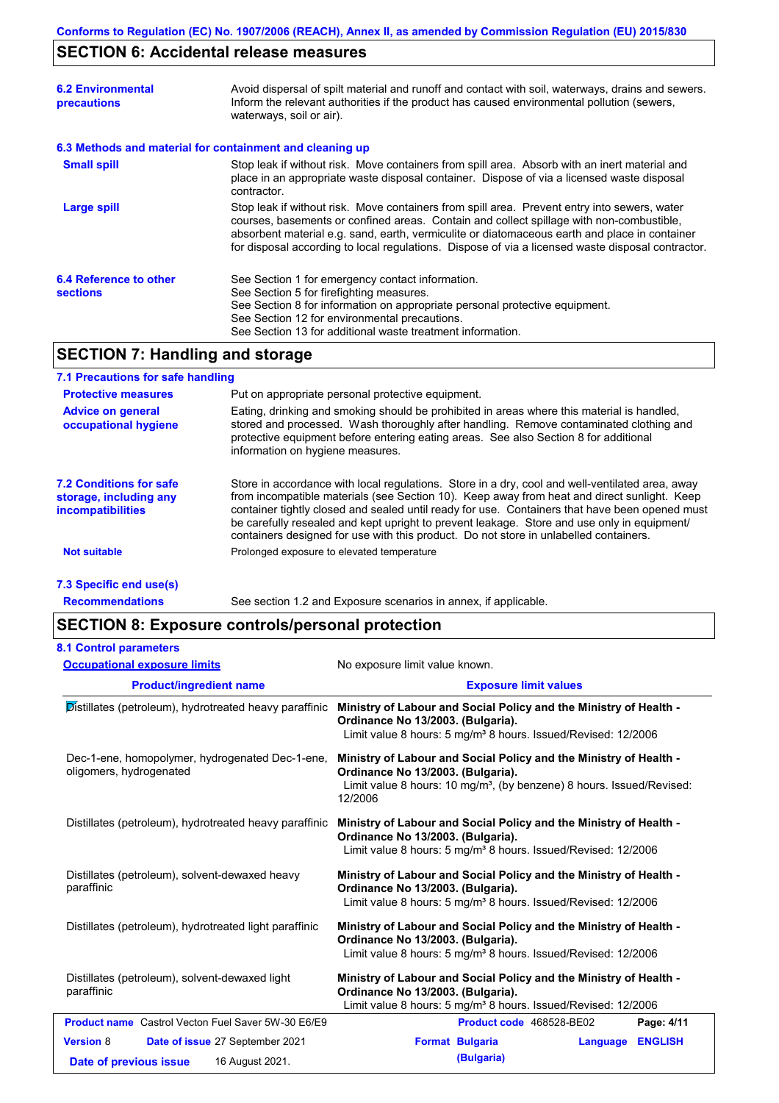# **SECTION 6: Accidental release measures**

| <b>6.2 Environmental</b><br>precautions   | Avoid dispersal of spilt material and runoff and contact with soil, waterways, drains and sewers.<br>Inform the relevant authorities if the product has caused environmental pollution (sewers,<br>waterways, soil or air).                                                                                                                                                                    |  |  |
|-------------------------------------------|------------------------------------------------------------------------------------------------------------------------------------------------------------------------------------------------------------------------------------------------------------------------------------------------------------------------------------------------------------------------------------------------|--|--|
|                                           | 6.3 Methods and material for containment and cleaning up                                                                                                                                                                                                                                                                                                                                       |  |  |
| <b>Small spill</b>                        | Stop leak if without risk. Move containers from spill area. Absorb with an inert material and<br>place in an appropriate waste disposal container. Dispose of via a licensed waste disposal<br>contractor.                                                                                                                                                                                     |  |  |
| <b>Large spill</b>                        | Stop leak if without risk. Move containers from spill area. Prevent entry into sewers, water<br>courses, basements or confined areas. Contain and collect spillage with non-combustible,<br>absorbent material e.g. sand, earth, vermiculite or diatomaceous earth and place in container<br>for disposal according to local regulations. Dispose of via a licensed waste disposal contractor. |  |  |
| 6.4 Reference to other<br><b>sections</b> | See Section 1 for emergency contact information.<br>See Section 5 for firefighting measures.<br>See Section 8 for information on appropriate personal protective equipment.<br>See Section 12 for environmental precautions.<br>See Section 13 for additional waste treatment information.                                                                                                     |  |  |

### **SECTION 7: Handling and storage**

#### **7.1 Precautions for safe handling**

| <b>Protective measures</b>                                                           | Put on appropriate personal protective equipment.                                                                                                                                                                                                                                                                                                                                                                                                                                        |
|--------------------------------------------------------------------------------------|------------------------------------------------------------------------------------------------------------------------------------------------------------------------------------------------------------------------------------------------------------------------------------------------------------------------------------------------------------------------------------------------------------------------------------------------------------------------------------------|
| <b>Advice on general</b><br>occupational hygiene                                     | Eating, drinking and smoking should be prohibited in areas where this material is handled,<br>stored and processed. Wash thoroughly after handling. Remove contaminated clothing and<br>protective equipment before entering eating areas. See also Section 8 for additional<br>information on hygiene measures.                                                                                                                                                                         |
| <b>7.2 Conditions for safe</b><br>storage, including any<br><i>incompatibilities</i> | Store in accordance with local regulations. Store in a dry, cool and well-ventilated area, away<br>from incompatible materials (see Section 10). Keep away from heat and direct sunlight. Keep<br>container tightly closed and sealed until ready for use. Containers that have been opened must<br>be carefully resealed and kept upright to prevent leakage. Store and use only in equipment/<br>containers designed for use with this product. Do not store in unlabelled containers. |
| <b>Not suitable</b>                                                                  | Prolonged exposure to elevated temperature                                                                                                                                                                                                                                                                                                                                                                                                                                               |
|                                                                                      |                                                                                                                                                                                                                                                                                                                                                                                                                                                                                          |

#### **7.3 Specific end use(s)**

**Recommendations**

See section 1.2 and Exposure scenarios in annex, if applicable.

### **SECTION 8: Exposure controls/personal protection**

| <b>8.1 Control parameters</b>                                              |                                                                                                                                                                                                        |  |  |
|----------------------------------------------------------------------------|--------------------------------------------------------------------------------------------------------------------------------------------------------------------------------------------------------|--|--|
| <b>Occupational exposure limits</b>                                        | No exposure limit value known.                                                                                                                                                                         |  |  |
| <b>Product/ingredient name</b>                                             | <b>Exposure limit values</b>                                                                                                                                                                           |  |  |
| Distillates (petroleum), hydrotreated heavy paraffinic                     | Ministry of Labour and Social Policy and the Ministry of Health -<br>Ordinance No 13/2003. (Bulgaria).<br>Limit value 8 hours: 5 mg/m <sup>3</sup> 8 hours. Issued/Revised: 12/2006                    |  |  |
| Dec-1-ene, homopolymer, hydrogenated Dec-1-ene,<br>oligomers, hydrogenated | Ministry of Labour and Social Policy and the Ministry of Health -<br>Ordinance No 13/2003. (Bulgaria).<br>Limit value 8 hours: 10 mg/m <sup>3</sup> , (by benzene) 8 hours. Issued/Revised:<br>12/2006 |  |  |
| Distillates (petroleum), hydrotreated heavy paraffinic                     | Ministry of Labour and Social Policy and the Ministry of Health -<br>Ordinance No 13/2003. (Bulgaria).<br>Limit value 8 hours: 5 mg/m <sup>3</sup> 8 hours. Issued/Revised: 12/2006                    |  |  |
| Distillates (petroleum), solvent-dewaxed heavy<br>paraffinic               | Ministry of Labour and Social Policy and the Ministry of Health -<br>Ordinance No 13/2003. (Bulgaria).<br>Limit value 8 hours: 5 mg/m <sup>3</sup> 8 hours. Issued/Revised: 12/2006                    |  |  |
| Distillates (petroleum), hydrotreated light paraffinic                     | Ministry of Labour and Social Policy and the Ministry of Health -<br>Ordinance No 13/2003. (Bulgaria).<br>Limit value 8 hours: 5 mg/m <sup>3</sup> 8 hours. Issued/Revised: 12/2006                    |  |  |
| Distillates (petroleum), solvent-dewaxed light<br>paraffinic               | Ministry of Labour and Social Policy and the Ministry of Health -<br>Ordinance No 13/2003. (Bulgaria).<br>Limit value 8 hours: 5 mg/m <sup>3</sup> 8 hours. Issued/Revised: 12/2006                    |  |  |
| <b>Product name</b> Castrol Vecton Fuel Saver 5W-30 E6/E9                  | Product code 468528-BE02<br>Page: 4/11                                                                                                                                                                 |  |  |
| <b>Version 8</b><br>Date of issue 27 September 2021                        | <b>ENGLISH</b><br><b>Format Bulgaria</b><br>Language                                                                                                                                                   |  |  |
| 16 August 2021.<br>Date of previous issue                                  | (Bulgaria)                                                                                                                                                                                             |  |  |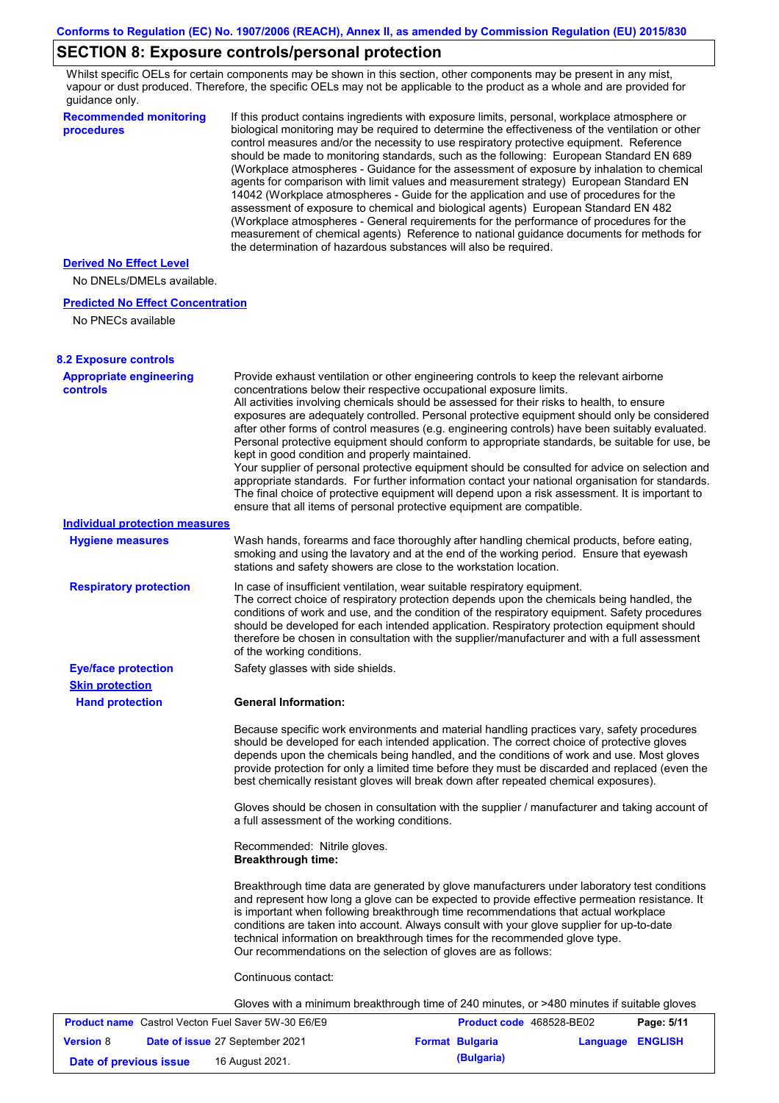# **SECTION 8: Exposure controls/personal protection**

Whilst specific OELs for certain components may be shown in this section, other components may be present in any mist, vapour or dust produced. Therefore, the specific OELs may not be applicable to the product as a whole and are provided for guidance only.

| <b>Recommended monitoring</b><br>procedures                                       | If this product contains ingredients with exposure limits, personal, workplace atmosphere or<br>biological monitoring may be required to determine the effectiveness of the ventilation or other<br>control measures and/or the necessity to use respiratory protective equipment. Reference<br>should be made to monitoring standards, such as the following: European Standard EN 689<br>(Workplace atmospheres - Guidance for the assessment of exposure by inhalation to chemical<br>agents for comparison with limit values and measurement strategy) European Standard EN<br>14042 (Workplace atmospheres - Guide for the application and use of procedures for the<br>assessment of exposure to chemical and biological agents) European Standard EN 482<br>(Workplace atmospheres - General requirements for the performance of procedures for the<br>measurement of chemical agents) Reference to national guidance documents for methods for<br>the determination of hazardous substances will also be required. |                          |          |                |
|-----------------------------------------------------------------------------------|----------------------------------------------------------------------------------------------------------------------------------------------------------------------------------------------------------------------------------------------------------------------------------------------------------------------------------------------------------------------------------------------------------------------------------------------------------------------------------------------------------------------------------------------------------------------------------------------------------------------------------------------------------------------------------------------------------------------------------------------------------------------------------------------------------------------------------------------------------------------------------------------------------------------------------------------------------------------------------------------------------------------------|--------------------------|----------|----------------|
| <b>Derived No Effect Level</b>                                                    |                                                                                                                                                                                                                                                                                                                                                                                                                                                                                                                                                                                                                                                                                                                                                                                                                                                                                                                                                                                                                            |                          |          |                |
| No DNELs/DMELs available.                                                         |                                                                                                                                                                                                                                                                                                                                                                                                                                                                                                                                                                                                                                                                                                                                                                                                                                                                                                                                                                                                                            |                          |          |                |
| <b>Predicted No Effect Concentration</b>                                          |                                                                                                                                                                                                                                                                                                                                                                                                                                                                                                                                                                                                                                                                                                                                                                                                                                                                                                                                                                                                                            |                          |          |                |
| No PNECs available                                                                |                                                                                                                                                                                                                                                                                                                                                                                                                                                                                                                                                                                                                                                                                                                                                                                                                                                                                                                                                                                                                            |                          |          |                |
|                                                                                   |                                                                                                                                                                                                                                                                                                                                                                                                                                                                                                                                                                                                                                                                                                                                                                                                                                                                                                                                                                                                                            |                          |          |                |
| <b>8.2 Exposure controls</b><br><b>Appropriate engineering</b><br><b>controls</b> | Provide exhaust ventilation or other engineering controls to keep the relevant airborne<br>concentrations below their respective occupational exposure limits.<br>All activities involving chemicals should be assessed for their risks to health, to ensure<br>exposures are adequately controlled. Personal protective equipment should only be considered<br>after other forms of control measures (e.g. engineering controls) have been suitably evaluated.<br>Personal protective equipment should conform to appropriate standards, be suitable for use, be<br>kept in good condition and properly maintained.<br>Your supplier of personal protective equipment should be consulted for advice on selection and<br>appropriate standards. For further information contact your national organisation for standards.<br>The final choice of protective equipment will depend upon a risk assessment. It is important to<br>ensure that all items of personal protective equipment are compatible.                    |                          |          |                |
| Individual protection measures                                                    |                                                                                                                                                                                                                                                                                                                                                                                                                                                                                                                                                                                                                                                                                                                                                                                                                                                                                                                                                                                                                            |                          |          |                |
| <b>Hygiene measures</b>                                                           | Wash hands, forearms and face thoroughly after handling chemical products, before eating,<br>smoking and using the lavatory and at the end of the working period. Ensure that eyewash<br>stations and safety showers are close to the workstation location.                                                                                                                                                                                                                                                                                                                                                                                                                                                                                                                                                                                                                                                                                                                                                                |                          |          |                |
| <b>Respiratory protection</b>                                                     | In case of insufficient ventilation, wear suitable respiratory equipment.<br>The correct choice of respiratory protection depends upon the chemicals being handled, the<br>conditions of work and use, and the condition of the respiratory equipment. Safety procedures<br>should be developed for each intended application. Respiratory protection equipment should<br>therefore be chosen in consultation with the supplier/manufacturer and with a full assessment<br>of the working conditions.                                                                                                                                                                                                                                                                                                                                                                                                                                                                                                                      |                          |          |                |
| <b>Eye/face protection</b>                                                        | Safety glasses with side shields.                                                                                                                                                                                                                                                                                                                                                                                                                                                                                                                                                                                                                                                                                                                                                                                                                                                                                                                                                                                          |                          |          |                |
| <b>Skin protection</b>                                                            | <b>General Information:</b>                                                                                                                                                                                                                                                                                                                                                                                                                                                                                                                                                                                                                                                                                                                                                                                                                                                                                                                                                                                                |                          |          |                |
| <b>Hand protection</b>                                                            |                                                                                                                                                                                                                                                                                                                                                                                                                                                                                                                                                                                                                                                                                                                                                                                                                                                                                                                                                                                                                            |                          |          |                |
|                                                                                   | Because specific work environments and material handling practices vary, safety procedures<br>should be developed for each intended application. The correct choice of protective gloves<br>depends upon the chemicals being handled, and the conditions of work and use. Most gloves<br>provide protection for only a limited time before they must be discarded and replaced (even the<br>best chemically resistant gloves will break down after repeated chemical exposures).                                                                                                                                                                                                                                                                                                                                                                                                                                                                                                                                           |                          |          |                |
|                                                                                   | Gloves should be chosen in consultation with the supplier / manufacturer and taking account of<br>a full assessment of the working conditions.                                                                                                                                                                                                                                                                                                                                                                                                                                                                                                                                                                                                                                                                                                                                                                                                                                                                             |                          |          |                |
|                                                                                   | Recommended: Nitrile gloves.<br><b>Breakthrough time:</b>                                                                                                                                                                                                                                                                                                                                                                                                                                                                                                                                                                                                                                                                                                                                                                                                                                                                                                                                                                  |                          |          |                |
|                                                                                   | Breakthrough time data are generated by glove manufacturers under laboratory test conditions<br>and represent how long a glove can be expected to provide effective permeation resistance. It<br>is important when following breakthrough time recommendations that actual workplace<br>conditions are taken into account. Always consult with your glove supplier for up-to-date<br>technical information on breakthrough times for the recommended glove type.<br>Our recommendations on the selection of gloves are as follows:                                                                                                                                                                                                                                                                                                                                                                                                                                                                                         |                          |          |                |
|                                                                                   | Continuous contact:                                                                                                                                                                                                                                                                                                                                                                                                                                                                                                                                                                                                                                                                                                                                                                                                                                                                                                                                                                                                        |                          |          |                |
|                                                                                   | Gloves with a minimum breakthrough time of 240 minutes, or >480 minutes if suitable gloves                                                                                                                                                                                                                                                                                                                                                                                                                                                                                                                                                                                                                                                                                                                                                                                                                                                                                                                                 |                          |          |                |
| <b>Product name</b> Castrol Vecton Fuel Saver 5W-30 E6/E9                         |                                                                                                                                                                                                                                                                                                                                                                                                                                                                                                                                                                                                                                                                                                                                                                                                                                                                                                                                                                                                                            | Product code 468528-BE02 |          | Page: 5/11     |
| <b>Version 8</b>                                                                  | Date of issue 27 September 2021                                                                                                                                                                                                                                                                                                                                                                                                                                                                                                                                                                                                                                                                                                                                                                                                                                                                                                                                                                                            | <b>Format Bulgaria</b>   | Language | <b>ENGLISH</b> |

**Date of previous issue 16 August 2021. (Bulgaria) (Bulgaria)**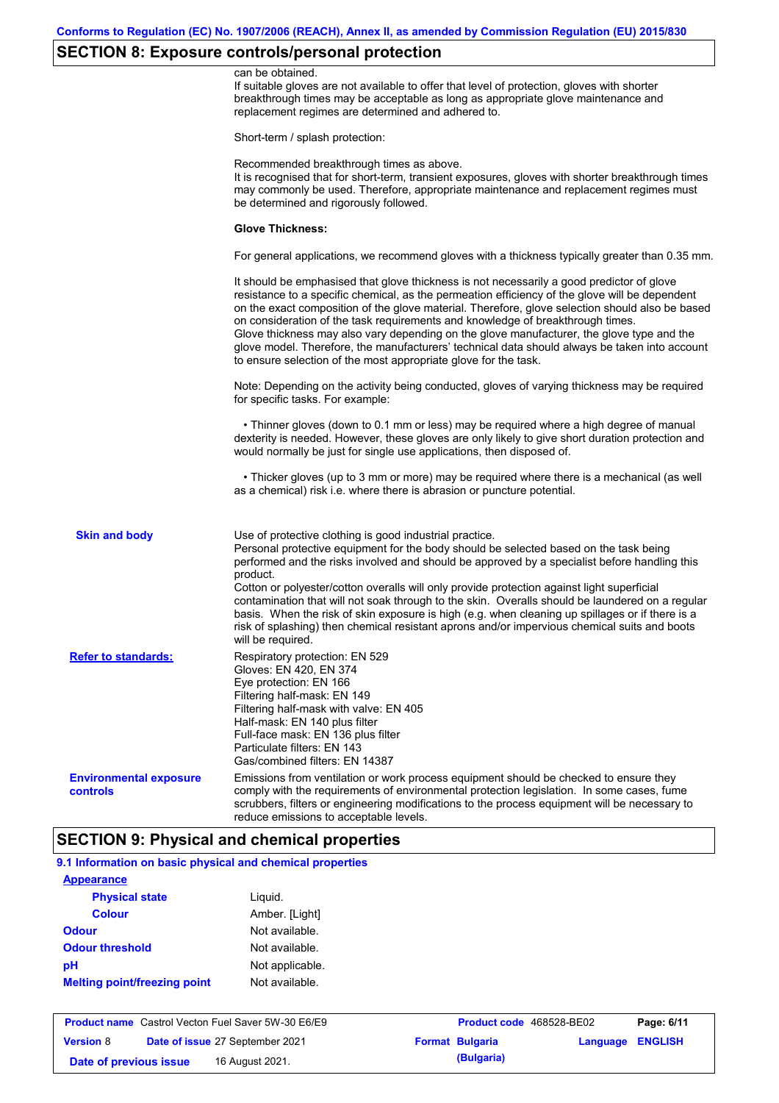# **SECTION 8: Exposure controls/personal protection**

| controls                                                    | comply with the requirements of environmental protection legislation. In some cases, fume<br>scrubbers, filters or engineering modifications to the process equipment will be necessary to<br>reduce emissions to acceptable levels.<br><b>SECTION 9: Physical and chemical properties</b>                                                                                                                                                                                                                                                                                                                                                                                            |
|-------------------------------------------------------------|---------------------------------------------------------------------------------------------------------------------------------------------------------------------------------------------------------------------------------------------------------------------------------------------------------------------------------------------------------------------------------------------------------------------------------------------------------------------------------------------------------------------------------------------------------------------------------------------------------------------------------------------------------------------------------------|
| <b>Refer to standards:</b><br><b>Environmental exposure</b> | Respiratory protection: EN 529<br>Gloves: EN 420, EN 374<br>Eye protection: EN 166<br>Filtering half-mask: EN 149<br>Filtering half-mask with valve: EN 405<br>Half-mask: EN 140 plus filter<br>Full-face mask: EN 136 plus filter<br>Particulate filters: EN 143<br>Gas/combined filters: EN 14387<br>Emissions from ventilation or work process equipment should be checked to ensure they                                                                                                                                                                                                                                                                                          |
| <b>Skin and body</b>                                        | Use of protective clothing is good industrial practice.<br>Personal protective equipment for the body should be selected based on the task being<br>performed and the risks involved and should be approved by a specialist before handling this<br>product.<br>Cotton or polyester/cotton overalls will only provide protection against light superficial<br>contamination that will not soak through to the skin. Overalls should be laundered on a regular<br>basis. When the risk of skin exposure is high (e.g. when cleaning up spillages or if there is a<br>risk of splashing) then chemical resistant aprons and/or impervious chemical suits and boots<br>will be required. |
|                                                             | • Thicker gloves (up to 3 mm or more) may be required where there is a mechanical (as well<br>as a chemical) risk i.e. where there is abrasion or puncture potential.                                                                                                                                                                                                                                                                                                                                                                                                                                                                                                                 |
|                                                             | • Thinner gloves (down to 0.1 mm or less) may be required where a high degree of manual<br>dexterity is needed. However, these gloves are only likely to give short duration protection and<br>would normally be just for single use applications, then disposed of.                                                                                                                                                                                                                                                                                                                                                                                                                  |
|                                                             | Note: Depending on the activity being conducted, gloves of varying thickness may be required<br>for specific tasks. For example:                                                                                                                                                                                                                                                                                                                                                                                                                                                                                                                                                      |
|                                                             | It should be emphasised that glove thickness is not necessarily a good predictor of glove<br>resistance to a specific chemical, as the permeation efficiency of the glove will be dependent<br>on the exact composition of the glove material. Therefore, glove selection should also be based<br>on consideration of the task requirements and knowledge of breakthrough times.<br>Glove thickness may also vary depending on the glove manufacturer, the glove type and the<br>glove model. Therefore, the manufacturers' technical data should always be taken into account<br>to ensure selection of the most appropriate glove for the task.                                     |
|                                                             | For general applications, we recommend gloves with a thickness typically greater than 0.35 mm.                                                                                                                                                                                                                                                                                                                                                                                                                                                                                                                                                                                        |
|                                                             | <b>Glove Thickness:</b>                                                                                                                                                                                                                                                                                                                                                                                                                                                                                                                                                                                                                                                               |
|                                                             | Recommended breakthrough times as above.<br>It is recognised that for short-term, transient exposures, gloves with shorter breakthrough times<br>may commonly be used. Therefore, appropriate maintenance and replacement regimes must<br>be determined and rigorously followed.                                                                                                                                                                                                                                                                                                                                                                                                      |
|                                                             | Short-term / splash protection:                                                                                                                                                                                                                                                                                                                                                                                                                                                                                                                                                                                                                                                       |
|                                                             | If suitable gloves are not available to offer that level of protection, gloves with shorter<br>breakthrough times may be acceptable as long as appropriate glove maintenance and<br>replacement regimes are determined and adhered to.                                                                                                                                                                                                                                                                                                                                                                                                                                                |

#### **9.1 Information on basic physical and chemical properties**

| <b>Appearance</b>                   |                 |
|-------------------------------------|-----------------|
| <b>Physical state</b>               | Liguid.         |
| <b>Colour</b>                       | Amber. [Light]  |
| <b>Odour</b>                        | Not available.  |
| <b>Odour threshold</b>              | Not available.  |
| рH                                  | Not applicable. |
| <b>Melting point/freezing point</b> | Not available.  |

|                        | <b>Product name</b> Castrol Vecton Fuel Saver 5W-30 E6/E9 | <b>Product code</b> 468528-BE02 |                  | Page: 6/11 |
|------------------------|-----------------------------------------------------------|---------------------------------|------------------|------------|
| <b>Version</b> 8       | Date of issue 27 September 2021                           | <b>Format Bulgaria</b>          | Language ENGLISH |            |
| Date of previous issue | 16 August 2021.                                           | (Bulgaria)                      |                  |            |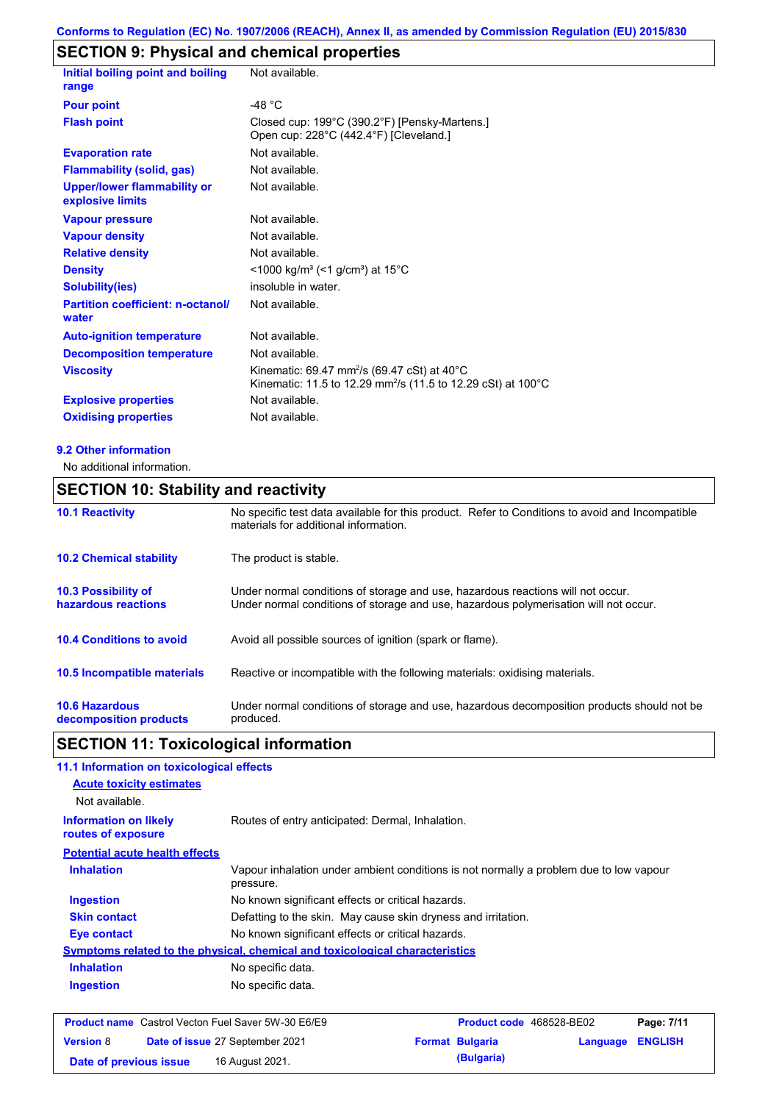### **SECTION 9: Physical and chemical properties**

| Initial boiling point and boiling<br>Not available.                                                                                            |
|------------------------------------------------------------------------------------------------------------------------------------------------|
| -48 $°C$                                                                                                                                       |
| Closed cup: 199°C (390.2°F) [Pensky-Martens.]<br>Open cup: 228°C (442.4°F) [Cleveland.]                                                        |
| Not available.                                                                                                                                 |
| Not available.                                                                                                                                 |
| Not available.                                                                                                                                 |
| Not available.                                                                                                                                 |
| Not available.                                                                                                                                 |
| Not available.                                                                                                                                 |
| $\leq$ 1000 kg/m <sup>3</sup> (<1 g/cm <sup>3</sup> ) at 15 <sup>°</sup> C                                                                     |
| insoluble in water.                                                                                                                            |
| <b>Partition coefficient: n-octanol/</b><br>Not available.                                                                                     |
| Not available.                                                                                                                                 |
| Not available.                                                                                                                                 |
| Kinematic: 69.47 mm <sup>2</sup> /s (69.47 cSt) at 40 $^{\circ}$ C<br>Kinematic: 11.5 to 12.29 mm <sup>2</sup> /s (11.5 to 12.29 cSt) at 100°C |
| Not available.                                                                                                                                 |
| Not available.                                                                                                                                 |
|                                                                                                                                                |

#### **9.2 Other information**

No additional information.

### **10.6 Hazardous decomposition products 10.4 Conditions to avoid** Avoid all possible sources of ignition (spark or flame). Under normal conditions of storage and use, hazardous decomposition products should not be produced. **10.2 Chemical stability** The product is stable. **10.5 Incompatible materials 10.3 Possibility of hazardous reactions** Under normal conditions of storage and use, hazardous reactions will not occur. Under normal conditions of storage and use, hazardous polymerisation will not occur. **SECTION 10: Stability and reactivity 10.1 Reactivity** No specific test data available for this product. Refer to Conditions to avoid and Incompatible materials for additional information. Reactive or incompatible with the following materials: oxidising materials.

### **SECTION 11: Toxicological information**

|                                                    | 11.1 Information on toxicological effects                                                           |
|----------------------------------------------------|-----------------------------------------------------------------------------------------------------|
| <b>Acute toxicity estimates</b>                    |                                                                                                     |
| Not available.                                     |                                                                                                     |
| <b>Information on likely</b><br>routes of exposure | Routes of entry anticipated: Dermal, Inhalation.                                                    |
| <b>Potential acute health effects</b>              |                                                                                                     |
| <b>Inhalation</b>                                  | Vapour inhalation under ambient conditions is not normally a problem due to low vapour<br>pressure. |
| <b>Ingestion</b>                                   | No known significant effects or critical hazards.                                                   |
| <b>Skin contact</b>                                | Defatting to the skin. May cause skin dryness and irritation.                                       |
| Eye contact                                        | No known significant effects or critical hazards.                                                   |
|                                                    | Symptoms related to the physical, chemical and toxicological characteristics                        |
| <b>Inhalation</b>                                  | No specific data.                                                                                   |
| <b>Ingestion</b>                                   | No specific data.                                                                                   |
|                                                    | <b>Product name</b> Castrol Vecton Fuel Saver 5W-30 E6/E9<br>Product code 468528-BE02<br>Page: 7/11 |
| <b>Version 8</b>                                   | <b>Format Bulgaria</b><br><b>ENGLISH</b><br>Date of issue 27 September 2021<br>Language             |
|                                                    |                                                                                                     |

**Date of previous issue 16 August 2021. (Bulgaria) (Bulgaria)**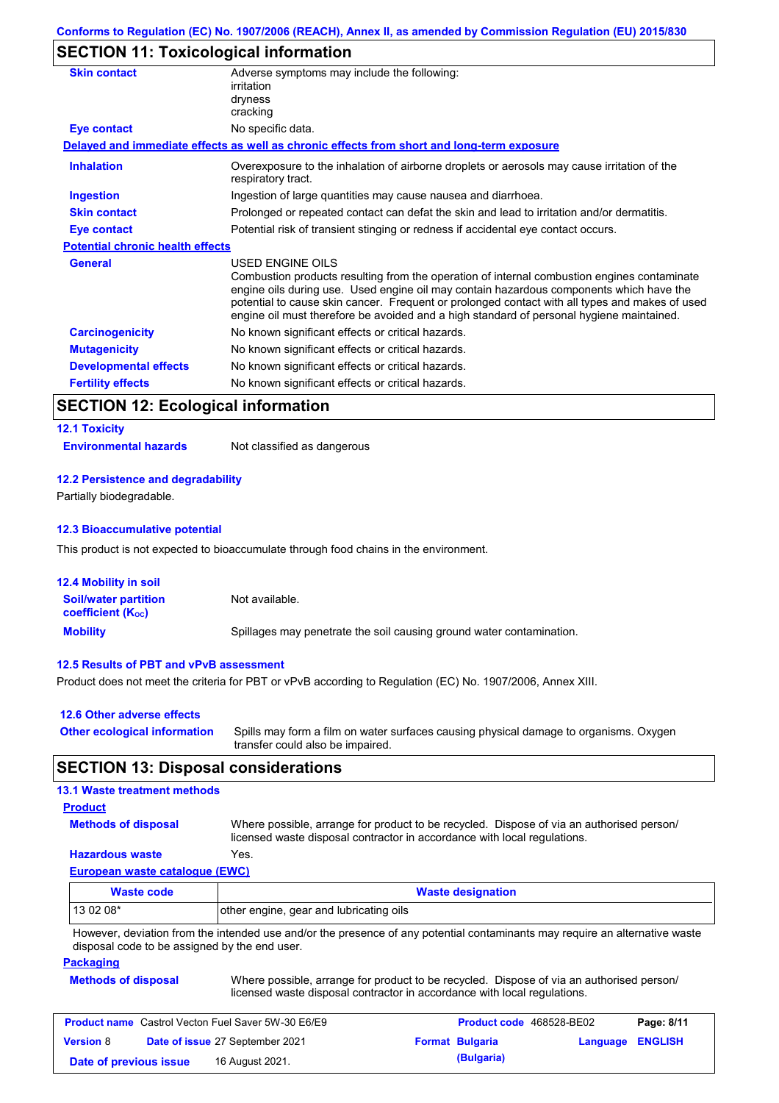### **SECTION 11: Toxicological information**

| Adverse symptoms may include the following:<br>irritation                                                                                                                                                                                                                                                                                                                                                |
|----------------------------------------------------------------------------------------------------------------------------------------------------------------------------------------------------------------------------------------------------------------------------------------------------------------------------------------------------------------------------------------------------------|
| dryness                                                                                                                                                                                                                                                                                                                                                                                                  |
| cracking                                                                                                                                                                                                                                                                                                                                                                                                 |
| No specific data.                                                                                                                                                                                                                                                                                                                                                                                        |
| Delayed and immediate effects as well as chronic effects from short and long-term exposure                                                                                                                                                                                                                                                                                                               |
| Overexposure to the inhalation of airborne droplets or aerosols may cause irritation of the<br>respiratory tract.                                                                                                                                                                                                                                                                                        |
| Ingestion of large quantities may cause nausea and diarrhoea.                                                                                                                                                                                                                                                                                                                                            |
| Prolonged or repeated contact can defat the skin and lead to irritation and/or dermatitis.                                                                                                                                                                                                                                                                                                               |
| Potential risk of transient stinging or redness if accidental eye contact occurs.                                                                                                                                                                                                                                                                                                                        |
| <b>Potential chronic health effects</b>                                                                                                                                                                                                                                                                                                                                                                  |
| USED ENGINE OILS<br>Combustion products resulting from the operation of internal combustion engines contaminate<br>engine oils during use. Used engine oil may contain hazardous components which have the<br>potential to cause skin cancer. Frequent or prolonged contact with all types and makes of used<br>engine oil must therefore be avoided and a high standard of personal hygiene maintained. |
| No known significant effects or critical hazards.                                                                                                                                                                                                                                                                                                                                                        |
| No known significant effects or critical hazards.                                                                                                                                                                                                                                                                                                                                                        |
| No known significant effects or critical hazards.                                                                                                                                                                                                                                                                                                                                                        |
| No known significant effects or critical hazards.                                                                                                                                                                                                                                                                                                                                                        |
|                                                                                                                                                                                                                                                                                                                                                                                                          |

## **SECTION 12: Ecological information**

| <b>12.1 Toxicity</b>         |                             |
|------------------------------|-----------------------------|
| <b>Environmental hazards</b> | Not classified as dangerous |

#### **12.2 Persistence and degradability**

Partially biodegradable.

#### **12.3 Bioaccumulative potential**

This product is not expected to bioaccumulate through food chains in the environment.

| <b>12.4 Mobility in soil</b>                                         |                                                                      |
|----------------------------------------------------------------------|----------------------------------------------------------------------|
| <b>Soil/water partition</b><br><b>coefficient</b> (K <sub>oc</sub> ) | Not available.                                                       |
| <b>Mobility</b>                                                      | Spillages may penetrate the soil causing ground water contamination. |

#### **12.5 Results of PBT and vPvB assessment**

Product does not meet the criteria for PBT or vPvB according to Regulation (EC) No. 1907/2006, Annex XIII.

| 12.6 Other adverse effects          |                                                                                       |
|-------------------------------------|---------------------------------------------------------------------------------------|
| <b>Other ecological information</b> | Spills may form a film on water surfaces causing physical damage to organisms. Oxygen |
|                                     | transfer could also be impaired.                                                      |

### **SECTION 13: Disposal considerations**

#### **13.1 Waste treatment methods**

#### **Product**

**Methods of disposal**

Where possible, arrange for product to be recycled. Dispose of via an authorised person/ licensed waste disposal contractor in accordance with local regulations.

#### **Hazardous waste** Yes.

**European waste catalogue (EWC)**

| Waste code | <b>Waste designation</b>                                                                                                               |  |  |
|------------|----------------------------------------------------------------------------------------------------------------------------------------|--|--|
| $130208*$  | other engine, gear and lubricating oils                                                                                                |  |  |
|            | therman derivated the files in the dealers weather the correct consected in the colombia server and the constitution of the consection |  |  |

However, deviation from the intended use and/or the presence of any potential contaminants may require an alternative waste disposal code to be assigned by the end user.

#### **Packaging**

| <b>Methods of disposal</b> | Where possible, arrange for product to be recycled. Dispose of via an authorised person/ |  |
|----------------------------|------------------------------------------------------------------------------------------|--|
|                            | licensed waste disposal contractor in accordance with local regulations.                 |  |

| <b>Product name</b> Castrol Vecton Fuel Saver 5W-30 E6/E9 |  |                                 | <b>Product code</b> 468528-BE02 |                        | Page: 8/11              |  |
|-----------------------------------------------------------|--|---------------------------------|---------------------------------|------------------------|-------------------------|--|
| <b>Version 8</b>                                          |  | Date of issue 27 September 2021 |                                 | <b>Format Bulgaria</b> | <b>Language ENGLISH</b> |  |
| Date of previous issue                                    |  | 16 August 2021.                 |                                 | (Bulgaria)             |                         |  |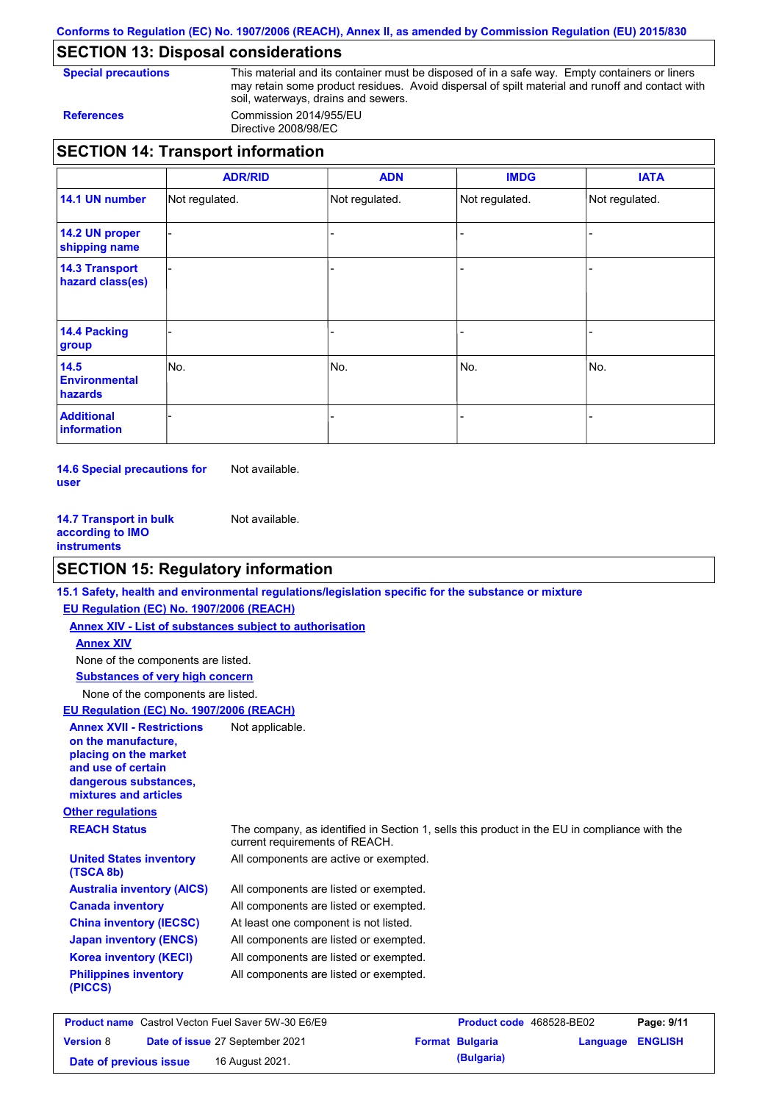**Conforms to Regulation (EC) No. 1907/2006 (REACH), Annex II, as amended by Commission Regulation (EU) 2015/830**

## **SECTION 13: Disposal considerations**

**Special precautions** This material and its container must be disposed of in a safe way. Empty containers or liners may retain some product residues. Avoid dispersal of spilt material and runoff and contact with soil, waterways, drains and sewers. **References** Commission 2014/955/EU

Directive 2008/98/EC

|                                           | <b>ADR/RID</b> | <b>ADN</b>     | <b>IMDG</b>    | <b>IATA</b>    |
|-------------------------------------------|----------------|----------------|----------------|----------------|
| 14.1 UN number                            | Not regulated. | Not regulated. | Not regulated. | Not regulated. |
| 14.2 UN proper<br>shipping name           |                |                |                |                |
| <b>14.3 Transport</b><br>hazard class(es) |                |                | -              |                |
| 14.4 Packing<br>group                     |                |                |                |                |
| 14.5<br><b>Environmental</b><br>hazards   | No.            | No.            | No.            | No.            |
| <b>Additional</b><br><b>information</b>   |                |                |                |                |

**14.6 Special precautions for user** Not available.

**14.7 Transport in bulk according to IMO instruments** Not available.

### **SECTION 15: Regulatory information**

|                                                                                                                                                          | 15.1 Safety, health and environmental regulations/legislation specific for the substance or mixture                            |
|----------------------------------------------------------------------------------------------------------------------------------------------------------|--------------------------------------------------------------------------------------------------------------------------------|
| EU Regulation (EC) No. 1907/2006 (REACH)                                                                                                                 |                                                                                                                                |
| Annex XIV - List of substances subject to authorisation                                                                                                  |                                                                                                                                |
| <b>Annex XIV</b>                                                                                                                                         |                                                                                                                                |
| None of the components are listed.                                                                                                                       |                                                                                                                                |
| <b>Substances of very high concern</b>                                                                                                                   |                                                                                                                                |
| None of the components are listed.                                                                                                                       |                                                                                                                                |
| EU Regulation (EC) No. 1907/2006 (REACH)                                                                                                                 |                                                                                                                                |
| <b>Annex XVII - Restrictions</b><br>on the manufacture.<br>placing on the market<br>and use of certain<br>dangerous substances,<br>mixtures and articles | Not applicable.                                                                                                                |
| <b>Other regulations</b>                                                                                                                                 |                                                                                                                                |
| <b>REACH Status</b>                                                                                                                                      | The company, as identified in Section 1, sells this product in the EU in compliance with the<br>current requirements of REACH. |
| <b>United States inventory</b><br>(TSCA 8b)                                                                                                              | All components are active or exempted.                                                                                         |
| <b>Australia inventory (AICS)</b>                                                                                                                        | All components are listed or exempted.                                                                                         |
| <b>Canada inventory</b>                                                                                                                                  | All components are listed or exempted.                                                                                         |
| <b>China inventory (IECSC)</b>                                                                                                                           | At least one component is not listed.                                                                                          |
| <b>Japan inventory (ENCS)</b>                                                                                                                            | All components are listed or exempted.                                                                                         |
| <b>Korea inventory (KECI)</b>                                                                                                                            | All components are listed or exempted.                                                                                         |
| <b>Philippines inventory</b><br>(PICCS)                                                                                                                  | All components are listed or exempted.                                                                                         |
|                                                                                                                                                          |                                                                                                                                |

|                        | <b>Product name</b> Castrol Vecton Fuel Saver 5W-30 E6/E9 | <b>Product code</b> 468528-BE02 |                         | Page: 9/11 |
|------------------------|-----------------------------------------------------------|---------------------------------|-------------------------|------------|
| <b>Version 8</b>       | Date of issue 27 September 2021                           | <b>Format Bulgaria</b>          | <b>Language ENGLISH</b> |            |
| Date of previous issue | 16 August 2021.                                           | (Bulgaria)                      |                         |            |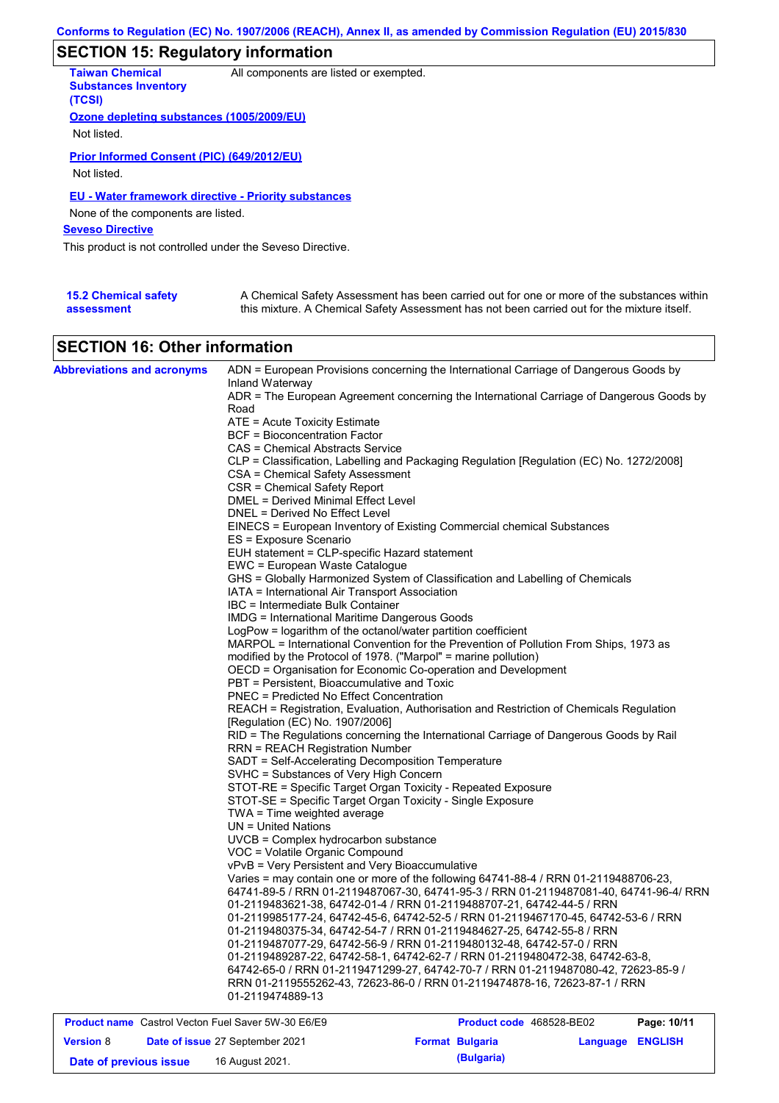# **SECTION 15: Regulatory information**

| <b>Taiwan Chemical</b><br><b>Substances Inventory</b><br>(TCSI) | All components are listed or exempted. |
|-----------------------------------------------------------------|----------------------------------------|
| Ozone depleting substances (1005/2009/EU)                       |                                        |
| Not listed.                                                     |                                        |
| Prior Informed Consent (PIC) (649/2012/EU)<br>Not listed.       |                                        |
| <b>EU - Water framework directive - Priority substances</b>     |                                        |
| None of the components are listed.                              |                                        |
| <b>Seveso Directive</b>                                         |                                        |
| This product is not controlled under the Seveso Directive.      |                                        |
|                                                                 |                                        |
|                                                                 |                                        |

| <b>15.2 Chemical safety</b> | A Chemical Safety Assessment has been carried out for one or more of the substances within  |
|-----------------------------|---------------------------------------------------------------------------------------------|
| assessment                  | this mixture. A Chemical Safety Assessment has not been carried out for the mixture itself. |

# **SECTION 16: Other information**

| <b>Abbreviations and acronyms</b>                         |                                                                                     | ADN = European Provisions concerning the International Carriage of Dangerous Goods by                         |             |
|-----------------------------------------------------------|-------------------------------------------------------------------------------------|---------------------------------------------------------------------------------------------------------------|-------------|
|                                                           | Inland Waterway                                                                     | ADR = The European Agreement concerning the International Carriage of Dangerous Goods by                      |             |
|                                                           | Road                                                                                |                                                                                                               |             |
|                                                           | ATE = Acute Toxicity Estimate                                                       |                                                                                                               |             |
|                                                           | BCF = Bioconcentration Factor                                                       |                                                                                                               |             |
|                                                           | CAS = Chemical Abstracts Service                                                    |                                                                                                               |             |
|                                                           |                                                                                     | CLP = Classification, Labelling and Packaging Regulation [Regulation (EC) No. 1272/2008]                      |             |
|                                                           | CSA = Chemical Safety Assessment                                                    |                                                                                                               |             |
|                                                           | CSR = Chemical Safety Report                                                        |                                                                                                               |             |
|                                                           | DMEL = Derived Minimal Effect Level                                                 |                                                                                                               |             |
|                                                           | DNEL = Derived No Effect Level                                                      |                                                                                                               |             |
|                                                           |                                                                                     | EINECS = European Inventory of Existing Commercial chemical Substances                                        |             |
|                                                           | ES = Exposure Scenario                                                              |                                                                                                               |             |
|                                                           | EUH statement = CLP-specific Hazard statement                                       |                                                                                                               |             |
|                                                           | EWC = European Waste Catalogue                                                      |                                                                                                               |             |
|                                                           |                                                                                     | GHS = Globally Harmonized System of Classification and Labelling of Chemicals                                 |             |
|                                                           | IATA = International Air Transport Association<br>IBC = Intermediate Bulk Container |                                                                                                               |             |
|                                                           | <b>IMDG</b> = International Maritime Dangerous Goods                                |                                                                                                               |             |
|                                                           | LogPow = logarithm of the octanol/water partition coefficient                       |                                                                                                               |             |
|                                                           |                                                                                     | MARPOL = International Convention for the Prevention of Pollution From Ships, 1973 as                         |             |
|                                                           | modified by the Protocol of 1978. ("Marpol" = marine pollution)                     |                                                                                                               |             |
|                                                           | OECD = Organisation for Economic Co-operation and Development                       |                                                                                                               |             |
|                                                           | PBT = Persistent, Bioaccumulative and Toxic                                         |                                                                                                               |             |
|                                                           | PNEC = Predicted No Effect Concentration                                            |                                                                                                               |             |
|                                                           |                                                                                     | REACH = Registration, Evaluation, Authorisation and Restriction of Chemicals Regulation                       |             |
|                                                           | [Requlation (EC) No. 1907/2006]                                                     |                                                                                                               |             |
|                                                           |                                                                                     | RID = The Regulations concerning the International Carriage of Dangerous Goods by Rail                        |             |
|                                                           | <b>RRN = REACH Registration Number</b>                                              |                                                                                                               |             |
|                                                           | SADT = Self-Accelerating Decomposition Temperature                                  |                                                                                                               |             |
|                                                           | SVHC = Substances of Very High Concern                                              |                                                                                                               |             |
|                                                           | STOT-RE = Specific Target Organ Toxicity - Repeated Exposure                        |                                                                                                               |             |
|                                                           | STOT-SE = Specific Target Organ Toxicity - Single Exposure                          |                                                                                                               |             |
|                                                           | TWA = Time weighted average                                                         |                                                                                                               |             |
|                                                           | $UN = United Nations$                                                               |                                                                                                               |             |
|                                                           | UVCB = Complex hydrocarbon substance                                                |                                                                                                               |             |
|                                                           | VOC = Volatile Organic Compound                                                     |                                                                                                               |             |
|                                                           | vPvB = Very Persistent and Very Bioaccumulative                                     |                                                                                                               |             |
|                                                           |                                                                                     | Varies = may contain one or more of the following $64741-88-4$ / RRN 01-2119488706-23,                        |             |
|                                                           |                                                                                     | 64741-89-5 / RRN 01-2119487067-30, 64741-95-3 / RRN 01-2119487081-40, 64741-96-4/ RRN                         |             |
|                                                           |                                                                                     | 01-2119483621-38, 64742-01-4 / RRN 01-2119488707-21, 64742-44-5 / RRN                                         |             |
|                                                           |                                                                                     | 01-2119985177-24, 64742-45-6, 64742-52-5 / RRN 01-2119467170-45, 64742-53-6 / RRN                             |             |
|                                                           |                                                                                     | 01-2119480375-34.                            64742-54-7 / RRN 01-2119484627-25.                    64742-55-8 |             |
|                                                           |                                                                                     | 01-2119487077-29, 64742-56-9 / RRN 01-2119480132-48, 64742-57-0 / RRN                                         |             |
|                                                           |                                                                                     | 01-2119489287-22, 64742-58-1, 64742-62-7 / RRN 01-2119480472-38, 64742-63-8,                                  |             |
|                                                           |                                                                                     | 64742-65-0 / RRN 01-2119471299-27, 64742-70-7 / RRN 01-2119487080-42, 72623-85-9 /                            |             |
|                                                           | 01-2119474889-13                                                                    | RRN 01-2119555262-43, 72623-86-0 / RRN 01-2119474878-16, 72623-87-1 / RRN                                     |             |
|                                                           |                                                                                     |                                                                                                               |             |
| <b>Product name</b> Castrol Vecton Fuel Saver 5W-30 E6/E9 |                                                                                     | Product code 468528-BE02                                                                                      | Page: 10/11 |

|                        | <b>Product name</b> Castrol Vecton Fuel Saver 5W-30 E6/E9 |                        | <b>Product code</b> 468528-BE02 | Page: 10/11 |
|------------------------|-----------------------------------------------------------|------------------------|---------------------------------|-------------|
| <b>Version 8</b>       | <b>Date of issue 27 September 2021</b>                    | <b>Format Bulgaria</b> | Language ENGLISH                |             |
| Date of previous issue | 16 August 2021.                                           | (Bulgaria)             |                                 |             |